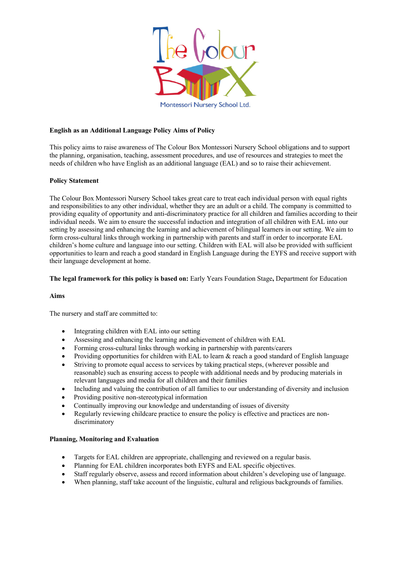

## **English as an Additional Language Policy Aims of Policy**

This policy aims to raise awareness of The Colour Box Montessori Nursery School obligations and to support the planning, organisation, teaching, assessment procedures, and use of resources and strategies to meet the needs of children who have English as an additional language (EAL) and so to raise their achievement.

## **Policy Statement**

The Colour Box Montessori Nursery School takes great care to treat each individual person with equal rights and responsibilities to any other individual, whether they are an adult or a child. The company is committed to providing equality of opportunity and anti-discriminatory practice for all children and families according to their individual needs. We aim to ensure the successful induction and integration of all children with EAL into our setting by assessing and enhancing the learning and achievement of bilingual learners in our setting. We aim to form cross-cultural links through working in partnership with parents and staff in order to incorporate EAL children's home culture and language into our setting. Children with EAL will also be provided with sufficient opportunities to learn and reach a good standard in English Language during the EYFS and receive support with their language development at home.

## **The legal framework for this policy is based on:** Early Years Foundation Stage**,** Department for Education

## **Aims**

The nursery and staff are committed to:

- Integrating children with EAL into our setting
- Assessing and enhancing the learning and achievement of children with EAL
- Forming cross-cultural links through working in partnership with parents/carers
- Providing opportunities for children with EAL to learn & reach a good standard of English language
- Striving to promote equal access to services by taking practical steps, (wherever possible and reasonable) such as ensuring access to people with additional needs and by producing materials in relevant languages and media for all children and their families
- Including and valuing the contribution of all families to our understanding of diversity and inclusion
- Providing positive non-stereotypical information
- Continually improving our knowledge and understanding of issues of diversity
- Regularly reviewing childcare practice to ensure the policy is effective and practices are nondiscriminatory

## **Planning, Monitoring and Evaluation**

- Targets for EAL children are appropriate, challenging and reviewed on a regular basis.
- Planning for EAL children incorporates both EYFS and EAL specific objectives.
- Staff regularly observe, assess and record information about children's developing use of language.
- When planning, staff take account of the linguistic, cultural and religious backgrounds of families.